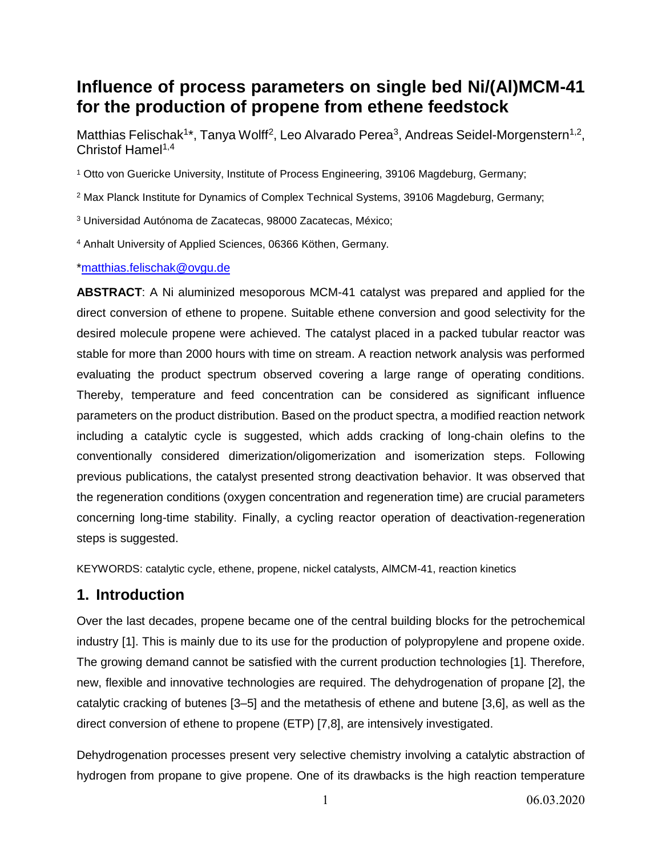# **Influence of process parameters on single bed Ni/(Al)MCM-41 for the production of propene from ethene feedstock**

Matthias Felischak<sup>1\*</sup>, Tanya Wolff<sup>2</sup>, Leo Alvarado Perea<sup>3</sup>, Andreas Seidel-Morgenstern<sup>1,2</sup>, Christof Hamel<sup>1,4</sup>

<sup>1</sup> Otto von Guericke University, Institute of Process Engineering, 39106 Magdeburg, Germany;

<sup>2</sup> Max Planck Institute for Dynamics of Complex Technical Systems, 39106 Magdeburg, Germany;

<sup>3</sup> Universidad Autónoma de Zacatecas, 98000 Zacatecas, México;

<sup>4</sup> Anhalt University of Applied Sciences, 06366 Köthen, Germany.

[\\*matthias.felischak@ovgu.de](mailto:matthias.felischak@ovgu.de)

**ABSTRACT**: A Ni aluminized mesoporous MCM-41 catalyst was prepared and applied for the direct conversion of ethene to propene. Suitable ethene conversion and good selectivity for the desired molecule propene were achieved. The catalyst placed in a packed tubular reactor was stable for more than 2000 hours with time on stream. A reaction network analysis was performed evaluating the product spectrum observed covering a large range of operating conditions. Thereby, temperature and feed concentration can be considered as significant influence parameters on the product distribution. Based on the product spectra, a modified reaction network including a catalytic cycle is suggested, which adds cracking of long-chain olefins to the conventionally considered dimerization/oligomerization and isomerization steps. Following previous publications, the catalyst presented strong deactivation behavior. It was observed that the regeneration conditions (oxygen concentration and regeneration time) are crucial parameters concerning long-time stability. Finally, a cycling reactor operation of deactivation-regeneration steps is suggested.

KEYWORDS: catalytic cycle, ethene, propene, nickel catalysts, AlMCM-41, reaction kinetics

### **1. Introduction**

Over the last decades, propene became one of the central building blocks for the petrochemical industry [1]. This is mainly due to its use for the production of polypropylene and propene oxide. The growing demand cannot be satisfied with the current production technologies [1]. Therefore, new, flexible and innovative technologies are required. The dehydrogenation of propane [2], the catalytic cracking of butenes [3–5] and the metathesis of ethene and butene [3,6], as well as the direct conversion of ethene to propene (ETP) [7,8], are intensively investigated.

Dehydrogenation processes present very selective chemistry involving a catalytic abstraction of hydrogen from propane to give propene. One of its drawbacks is the high reaction temperature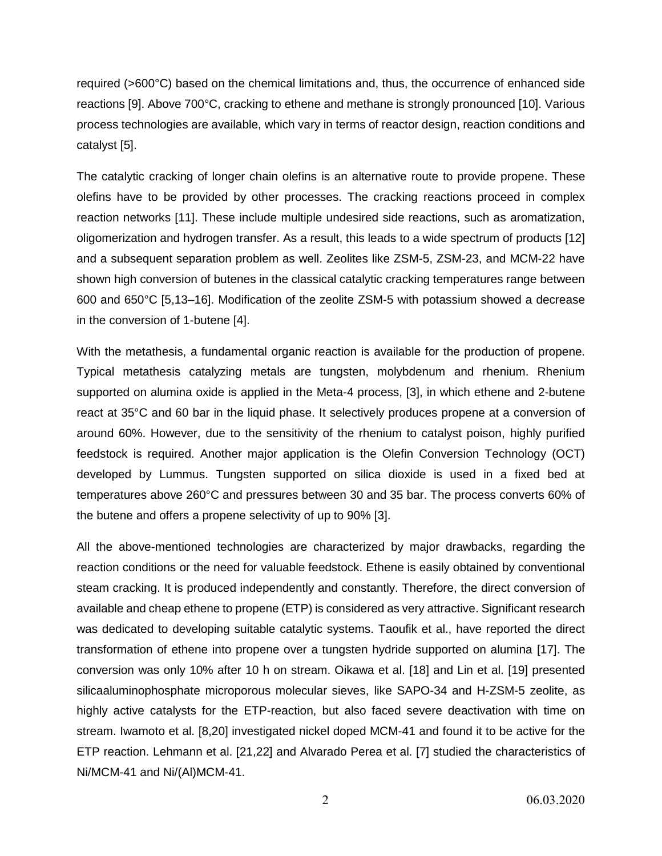required (>600°C) based on the chemical limitations and, thus, the occurrence of enhanced side reactions [9]. Above 700°C, cracking to ethene and methane is strongly pronounced [10]. Various process technologies are available, which vary in terms of reactor design, reaction conditions and catalyst [5].

The catalytic cracking of longer chain olefins is an alternative route to provide propene. These olefins have to be provided by other processes. The cracking reactions proceed in complex reaction networks [11]. These include multiple undesired side reactions, such as aromatization, oligomerization and hydrogen transfer. As a result, this leads to a wide spectrum of products [12] and a subsequent separation problem as well. Zeolites like ZSM-5, ZSM-23, and MCM-22 have shown high conversion of butenes in the classical catalytic cracking temperatures range between 600 and 650°C [5,13–16]. Modification of the zeolite ZSM-5 with potassium showed a decrease in the conversion of 1-butene [4].

With the metathesis, a fundamental organic reaction is available for the production of propene. Typical metathesis catalyzing metals are tungsten, molybdenum and rhenium. Rhenium supported on alumina oxide is applied in the Meta-4 process, [3], in which ethene and 2-butene react at 35°C and 60 bar in the liquid phase. It selectively produces propene at a conversion of around 60%. However, due to the sensitivity of the rhenium to catalyst poison, highly purified feedstock is required. Another major application is the Olefin Conversion Technology (OCT) developed by Lummus. Tungsten supported on silica dioxide is used in a fixed bed at temperatures above 260°C and pressures between 30 and 35 bar. The process converts 60% of the butene and offers a propene selectivity of up to 90% [3].

All the above-mentioned technologies are characterized by major drawbacks, regarding the reaction conditions or the need for valuable feedstock. Ethene is easily obtained by conventional steam cracking. It is produced independently and constantly. Therefore, the direct conversion of available and cheap ethene to propene (ETP) is considered as very attractive. Significant research was dedicated to developing suitable catalytic systems. Taoufik et al., have reported the direct transformation of ethene into propene over a tungsten hydride supported on alumina [17]. The conversion was only 10% after 10 h on stream. Oikawa et al. [18] and Lin et al. [19] presented silicaaluminophosphate microporous molecular sieves, like SAPO-34 and H-ZSM-5 zeolite, as highly active catalysts for the ETP-reaction, but also faced severe deactivation with time on stream. Iwamoto et al. [8,20] investigated nickel doped MCM-41 and found it to be active for the ETP reaction. Lehmann et al. [21,22] and Alvarado Perea et al. [7] studied the characteristics of Ni/MCM-41 and Ni/(Al)MCM-41.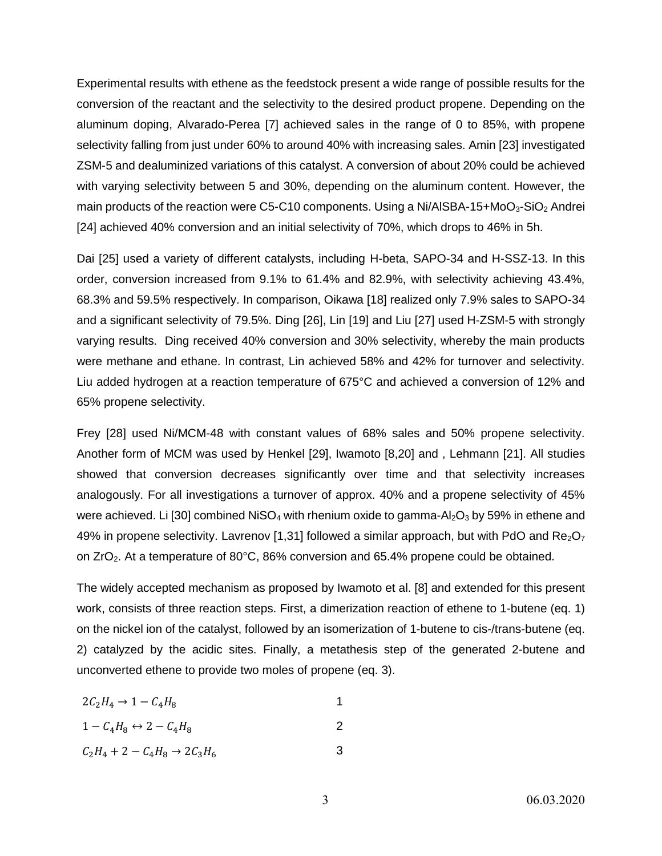Experimental results with ethene as the feedstock present a wide range of possible results for the conversion of the reactant and the selectivity to the desired product propene. Depending on the aluminum doping, Alvarado-Perea [7] achieved sales in the range of 0 to 85%, with propene selectivity falling from just under 60% to around 40% with increasing sales. Amin [23] investigated ZSM-5 and dealuminized variations of this catalyst. A conversion of about 20% could be achieved with varying selectivity between 5 and 30%, depending on the aluminum content. However, the main products of the reaction were C5-C10 components. Using a Ni/AlSBA-15+MoO<sub>3</sub>-SiO<sub>2</sub> Andrei [24] achieved 40% conversion and an initial selectivity of 70%, which drops to 46% in 5h.

Dai [25] used a variety of different catalysts, including H-beta, SAPO-34 and H-SSZ-13. In this order, conversion increased from 9.1% to 61.4% and 82.9%, with selectivity achieving 43.4%, 68.3% and 59.5% respectively. In comparison, Oikawa [18] realized only 7.9% sales to SAPO-34 and a significant selectivity of 79.5%. Ding [26], Lin [19] and Liu [27] used H-ZSM-5 with strongly varying results. Ding received 40% conversion and 30% selectivity, whereby the main products were methane and ethane. In contrast, Lin achieved 58% and 42% for turnover and selectivity. Liu added hydrogen at a reaction temperature of 675°C and achieved a conversion of 12% and 65% propene selectivity.

Frey [28] used Ni/MCM-48 with constant values of 68% sales and 50% propene selectivity. Another form of MCM was used by Henkel [29], Iwamoto [8,20] and , Lehmann [21]. All studies showed that conversion decreases significantly over time and that selectivity increases analogously. For all investigations a turnover of approx. 40% and a propene selectivity of 45% were achieved. Li [30] combined NiSO<sub>4</sub> with rhenium oxide to gamma-Al<sub>2</sub>O<sub>3</sub> by 59% in ethene and 49% in propene selectivity. Lavrenov [1,31] followed a similar approach, but with PdO and  $\text{Re}_2\text{O}_7$ on  $ZrO<sub>2</sub>$ . At a temperature of 80°C, 86% conversion and 65.4% propene could be obtained.

The widely accepted mechanism as proposed by Iwamoto et al. [8] and extended for this present work, consists of three reaction steps. First, a dimerization reaction of ethene to 1-butene (eq. [1\)](#page-2-0) on the nickel ion of the catalyst, followed by an isomerization of 1-butene to cis-/trans-butene (eq. [2\)](#page-2-1) catalyzed by the acidic sites. Finally, a metathesis step of the generated 2-butene and unconverted ethene to provide two moles of propene (eq. [3\)](#page-2-2).

<span id="page-2-0"></span>
$$
2C_2H_4 \rightarrow 1 - C_4H_8
$$

<span id="page-2-1"></span>
$$
1 - C_4 H_8 \leftrightarrow 2 - C_4 H_8 \tag{2}
$$

<span id="page-2-2"></span>
$$
C_2H_4 + 2 - C_4H_8 \to 2C_3H_6
$$
 3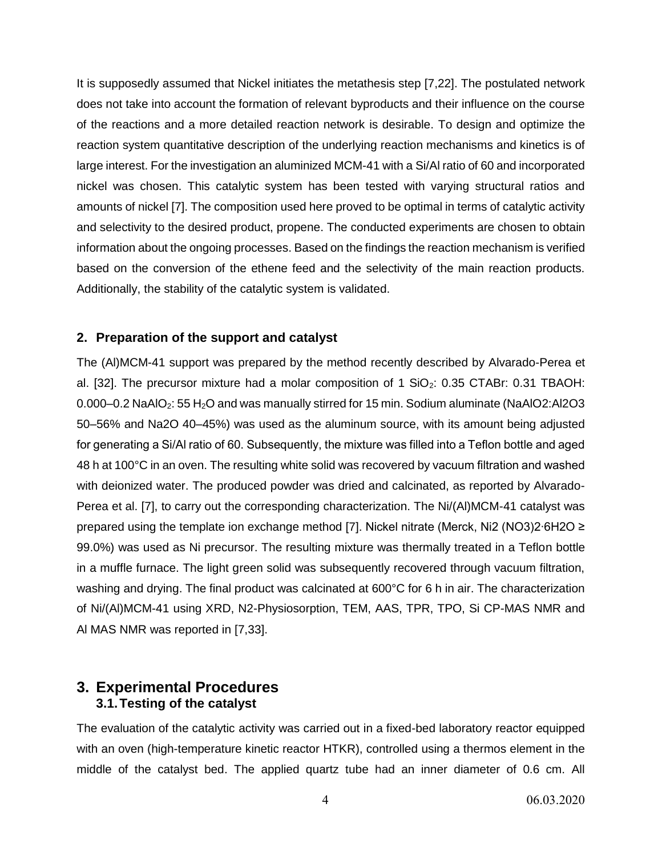It is supposedly assumed that Nickel initiates the metathesis step [7,22]. The postulated network does not take into account the formation of relevant byproducts and their influence on the course of the reactions and a more detailed reaction network is desirable. To design and optimize the reaction system quantitative description of the underlying reaction mechanisms and kinetics is of large interest. For the investigation an aluminized MCM-41 with a Si/Al ratio of 60 and incorporated nickel was chosen. This catalytic system has been tested with varying structural ratios and amounts of nickel [7]. The composition used here proved to be optimal in terms of catalytic activity and selectivity to the desired product, propene. The conducted experiments are chosen to obtain information about the ongoing processes. Based on the findings the reaction mechanism is verified based on the conversion of the ethene feed and the selectivity of the main reaction products. Additionally, the stability of the catalytic system is validated.

#### **2. Preparation of the support and catalyst**

The (Al)MCM-41 support was prepared by the method recently described by Alvarado-Perea et al. [32]. The precursor mixture had a molar composition of 1  $SiO<sub>2</sub>$ : 0.35 CTABr: 0.31 TBAOH: 0.000–0.2 NaAlO<sub>2</sub>: 55 H<sub>2</sub>O and was manually stirred for 15 min. Sodium aluminate (NaAlO2:Al2O3 50–56% and Na2O 40–45%) was used as the aluminum source, with its amount being adjusted for generating a Si/Al ratio of 60. Subsequently, the mixture was filled into a Teflon bottle and aged 48 h at 100°C in an oven. The resulting white solid was recovered by vacuum filtration and washed with deionized water. The produced powder was dried and calcinated, as reported by Alvarado-Perea et al. [7], to carry out the corresponding characterization. The Ni/(Al)MCM-41 catalyst was prepared using the template ion exchange method [7]. Nickel nitrate (Merck, Ni2 (NO3)2∙6H2O ≥ 99.0%) was used as Ni precursor. The resulting mixture was thermally treated in a Teflon bottle in a muffle furnace. The light green solid was subsequently recovered through vacuum filtration, washing and drying. The final product was calcinated at 600°C for 6 h in air. The characterization of Ni/(Al)MCM-41 using XRD, N2-Physiosorption, TEM, AAS, TPR, TPO, Si CP-MAS NMR and Al MAS NMR was reported in [7,33].

# **3. Experimental Procedures 3.1.Testing of the catalyst**

The evaluation of the catalytic activity was carried out in a fixed-bed laboratory reactor equipped with an oven (high-temperature kinetic reactor HTKR), controlled using a thermos element in the middle of the catalyst bed. The applied quartz tube had an inner diameter of 0.6 cm. All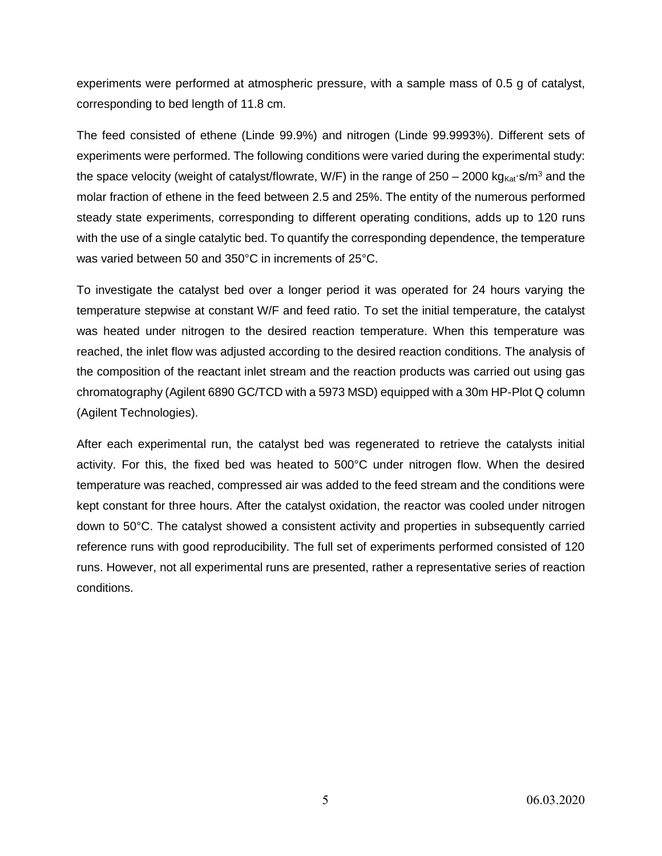experiments were performed at atmospheric pressure, with a sample mass of 0.5 g of catalyst, corresponding to bed length of 11.8 cm.

The feed consisted of ethene (Linde 99.9%) and nitrogen (Linde 99.9993%). Different sets of experiments were performed. The following conditions were varied during the experimental study: the space velocity (weight of catalyst/flowrate, W/F) in the range of 250 – 2000 kg<sub>Kat</sub>∙s/m<sup>3</sup> and the molar fraction of ethene in the feed between 2.5 and 25%. The entity of the numerous performed steady state experiments, corresponding to different operating conditions, adds up to 120 runs with the use of a single catalytic bed. To quantify the corresponding dependence, the temperature was varied between 50 and 350°C in increments of 25°C.

To investigate the catalyst bed over a longer period it was operated for 24 hours varying the temperature stepwise at constant W/F and feed ratio. To set the initial temperature, the catalyst was heated under nitrogen to the desired reaction temperature. When this temperature was reached, the inlet flow was adjusted according to the desired reaction conditions. The analysis of the composition of the reactant inlet stream and the reaction products was carried out using gas chromatography (Agilent 6890 GC/TCD with a 5973 MSD) equipped with a 30m HP-Plot Q column (Agilent Technologies).

After each experimental run, the catalyst bed was regenerated to retrieve the catalysts initial activity. For this, the fixed bed was heated to 500°C under nitrogen flow. When the desired temperature was reached, compressed air was added to the feed stream and the conditions were kept constant for three hours. After the catalyst oxidation, the reactor was cooled under nitrogen down to 50°C. The catalyst showed a consistent activity and properties in subsequently carried reference runs with good reproducibility. The full set of experiments performed consisted of 120 runs. However, not all experimental runs are presented, rather a representative series of reaction conditions.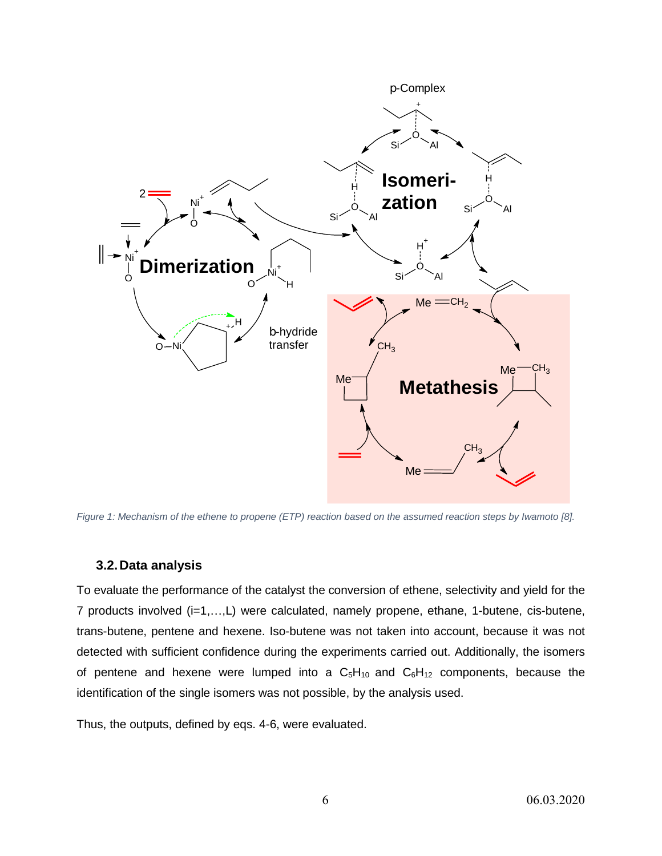

<span id="page-5-0"></span>*Figure 1: Mechanism of the ethene to propene (ETP) reaction based on the assumed reaction steps by Iwamoto [8].*

#### **3.2.Data analysis**

To evaluate the performance of the catalyst the conversion of ethene, selectivity and yield for the 7 products involved (i=1,…,L) were calculated, namely propene, ethane, 1-butene, cis-butene, trans-butene, pentene and hexene. Iso-butene was not taken into account, because it was not detected with sufficient confidence during the experiments carried out. Additionally, the isomers of pentene and hexene were lumped into a  $C_5H_{10}$  and  $C_6H_{12}$  components, because the identification of the single isomers was not possible, by the analysis used.

Thus, the outputs, defined by eqs. [4](#page-6-0)[-6,](#page-6-1) were evaluated.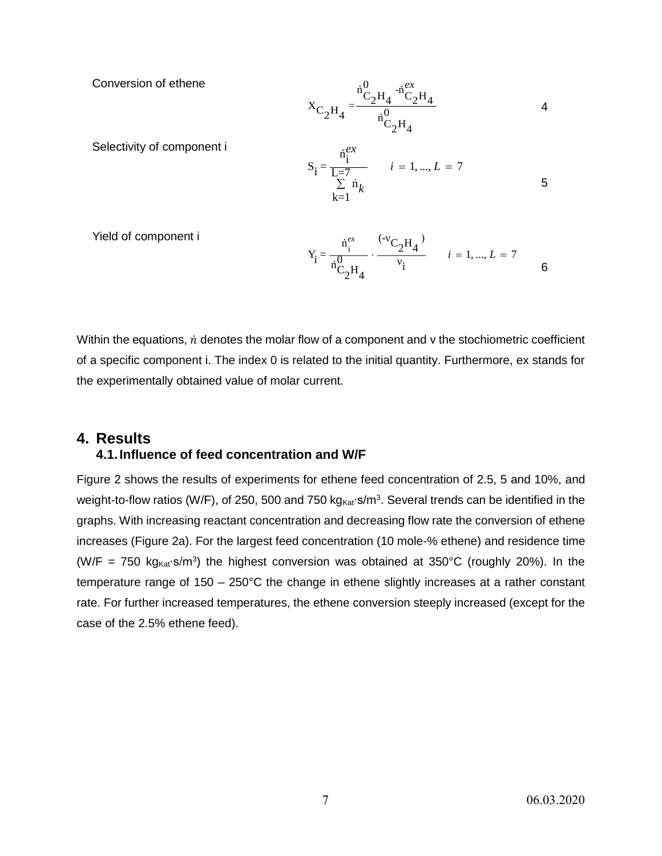Conversion of ethene

<span id="page-6-0"></span>
$$
X_{C_2H_4} = \frac{{}^{i}C_2H_4}{{}^{i}C_2H_4}
$$
 4

Selectivity of component i

<span id="page-6-2"></span>
$$
S_{i} = \frac{\dot{n}_{i}^{ex}}{L=7}
$$
  
\n
$$
\sum_{k=1}^{i} \dot{n}_{k}
$$
  
\n1. ... ,  $L = 7$   
\n5

Yield of component i

<span id="page-6-1"></span>
$$
Y_i = \frac{\dot{n}_i^{ex}}{\dot{n}_{C_2}^0 H_4} \cdot \frac{(-v_{C_2}^0 H_4)}{v_i} \qquad i = 1, ..., L = 7
$$

Within the equations,  $\dot{n}$  denotes the molar flow of a component and  $\nu$  the stochiometric coefficient of a specific component i. The index 0 is related to the initial quantity. Furthermore, ex stands for the experimentally obtained value of molar current.

# **4. Results**

### **4.1.Influence of feed concentration and W/F**

[Figure 2](#page-7-0) shows the results of experiments for ethene feed concentration of 2.5, 5 and 10%, and weight-to-flow ratios (W/F), of 250, 500 and 750 kg<sub>Kat</sub>∙s/m<sup>3</sup>. Several trends can be identified in the graphs. With increasing reactant concentration and decreasing flow rate the conversion of ethene increases [\(Figure 2a](#page-7-0)). For the largest feed concentration (10 mole-% ethene) and residence time (W/F = 750 kg<sub>Kat</sub>⋅s/m<sup>3</sup>) the highest conversion was obtained at 350°C (roughly 20%). In the temperature range of 150 – 250°C the change in ethene slightly increases at a rather constant rate. For further increased temperatures, the ethene conversion steeply increased (except for the case of the 2.5% ethene feed).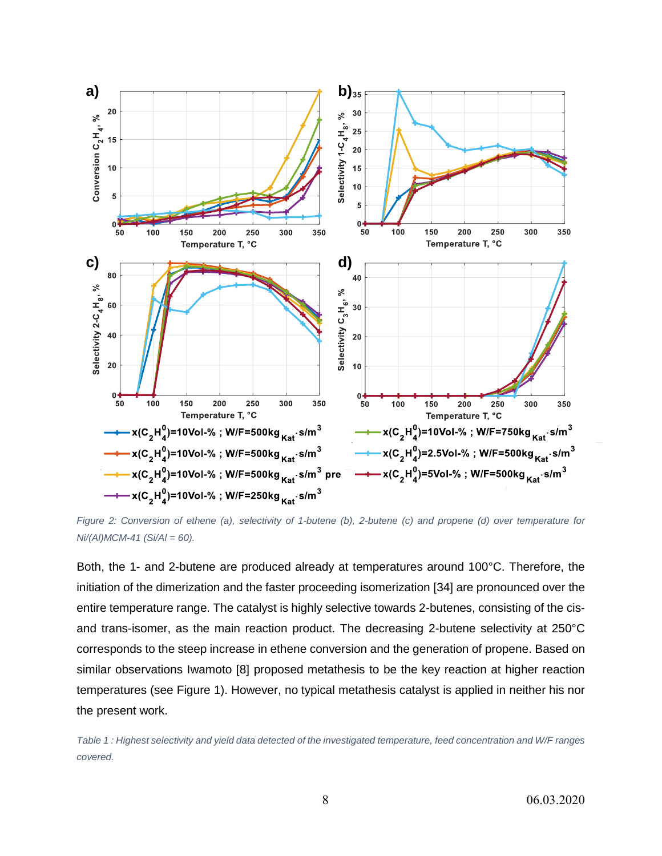

<span id="page-7-0"></span>*Figure 2: Conversion of ethene (a), selectivity of 1-butene (b), 2-butene (c) and propene (d) over temperature for Ni/(Al)MCM-41 (Si/Al = 60).*

Both, the 1- and 2-butene are produced already at temperatures around 100°C. Therefore, the initiation of the dimerization and the faster proceeding isomerization [34] are pronounced over the entire temperature range. The catalyst is highly selective towards 2-butenes, consisting of the cisand trans-isomer, as the main reaction product. The decreasing 2-butene selectivity at 250°C corresponds to the steep increase in ethene conversion and the generation of propene. Based on similar observations Iwamoto [8] proposed metathesis to be the key reaction at higher reaction temperatures (see [Figure 1\)](#page-5-0). However, no typical metathesis catalyst is applied in neither his nor the present work.

<span id="page-7-1"></span>*Table 1 : Highest selectivity and yield data detected of the investigated temperature, feed concentration and W/F ranges covered.*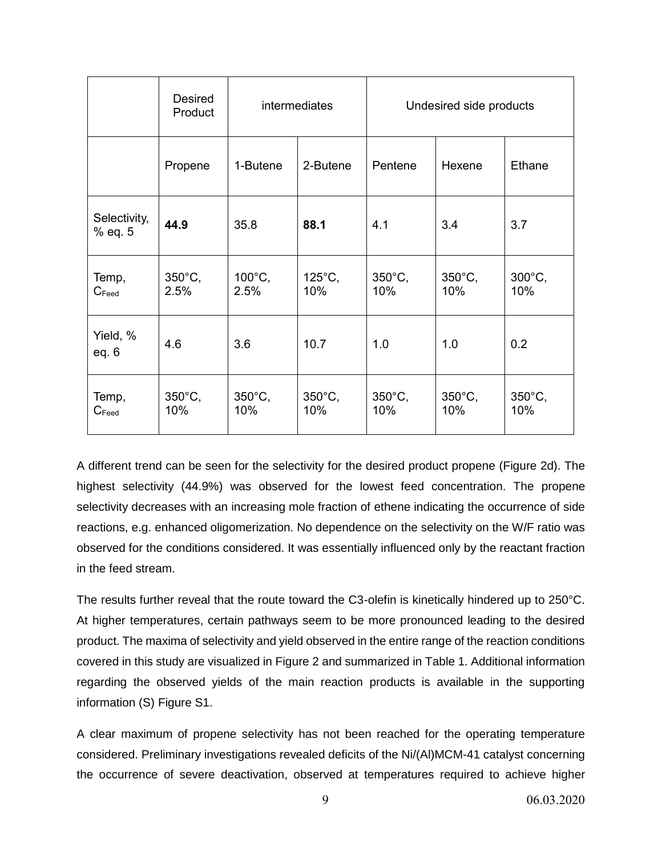|                            | Desired<br>Product       | <b>intermediates</b>    |                         | Undesired side products |                         |                         |
|----------------------------|--------------------------|-------------------------|-------------------------|-------------------------|-------------------------|-------------------------|
|                            | Propene                  | 1-Butene                | 2-Butene                | Pentene                 | Hexene                  | Ethane                  |
| Selectivity,<br>% eq. 5    | 44.9                     | 35.8                    | 88.1                    | 4.1                     | 3.4                     | 3.7                     |
| Temp,<br>$C_{\text{feed}}$ | $350^{\circ}$ C,<br>2.5% | 100°C,<br>2.5%          | 125°C,<br>10%           | $350^{\circ}$ C,<br>10% | $350^{\circ}$ C,<br>10% | $300^{\circ}$ C,<br>10% |
| Yield, %<br>eq. $6$        | 4.6                      | 3.6                     | 10.7                    | 1.0                     | 1.0                     | 0.2                     |
| Temp,<br>$C_{\text{feed}}$ | $350^{\circ}$ C,<br>10%  | $350^{\circ}$ C,<br>10% | $350^{\circ}$ C,<br>10% | $350^{\circ}$ C,<br>10% | $350^{\circ}$ C,<br>10% | $350^{\circ}$ C,<br>10% |

A different trend can be seen for the selectivity for the desired product propene [\(Figure 2d](#page-7-0)). The highest selectivity (44.9%) was observed for the lowest feed concentration. The propene selectivity decreases with an increasing mole fraction of ethene indicating the occurrence of side reactions, e.g. enhanced oligomerization. No dependence on the selectivity on the W/F ratio was observed for the conditions considered. It was essentially influenced only by the reactant fraction in the feed stream.

The results further reveal that the route toward the C3-olefin is kinetically hindered up to 250°C. At higher temperatures, certain pathways seem to be more pronounced leading to the desired product. The maxima of selectivity and yield observed in the entire range of the reaction conditions covered in this study are visualized in [Figure 2](#page-7-0) and summarized in [Table 1.](#page-7-1) Additional information regarding the observed yields of the main reaction products is available in the supporting information (S) Figure S1.

A clear maximum of propene selectivity has not been reached for the operating temperature considered. Preliminary investigations revealed deficits of the Ni/(Al)MCM-41 catalyst concerning the occurrence of severe deactivation, observed at temperatures required to achieve higher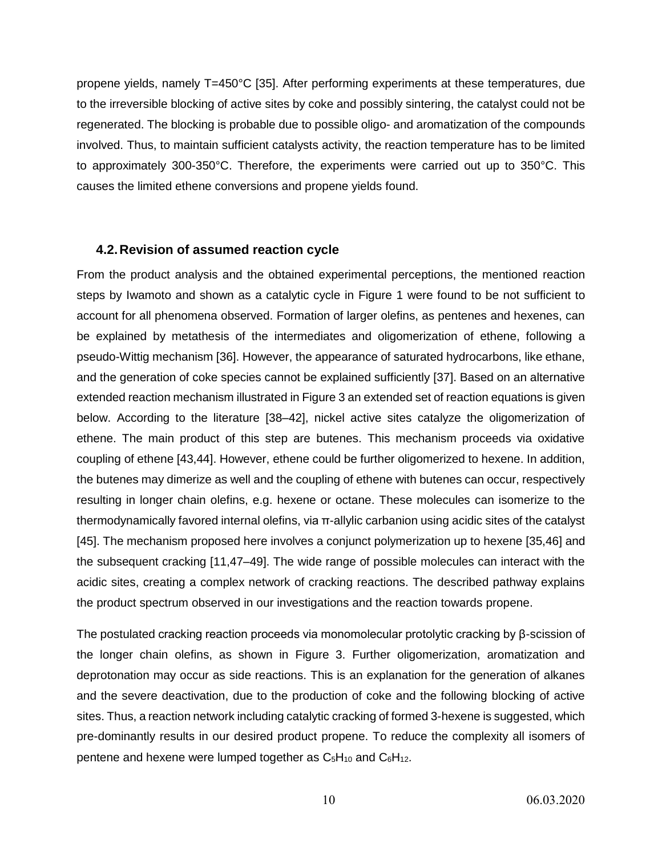propene yields, namely T=450°C [35]. After performing experiments at these temperatures, due to the irreversible blocking of active sites by coke and possibly sintering, the catalyst could not be regenerated. The blocking is probable due to possible oligo- and aromatization of the compounds involved. Thus, to maintain sufficient catalysts activity, the reaction temperature has to be limited to approximately 300-350°C. Therefore, the experiments were carried out up to 350°C. This causes the limited ethene conversions and propene yields found.

#### **4.2.Revision of assumed reaction cycle**

From the product analysis and the obtained experimental perceptions, the mentioned reaction steps by Iwamoto and shown as a catalytic cycle in [Figure 1](#page-5-0) were found to be not sufficient to account for all phenomena observed. Formation of larger olefins, as pentenes and hexenes, can be explained by metathesis of the intermediates and oligomerization of ethene, following a pseudo-Wittig mechanism [36]. However, the appearance of saturated hydrocarbons, like ethane, and the generation of coke species cannot be explained sufficiently [37]. Based on an alternative extended reaction mechanism illustrated i[n Figure 3](#page-10-0) an extended set of reaction equations is given below. According to the literature [38–42], nickel active sites catalyze the oligomerization of ethene. The main product of this step are butenes. This mechanism proceeds via oxidative coupling of ethene [43,44]. However, ethene could be further oligomerized to hexene. In addition, the butenes may dimerize as well and the coupling of ethene with butenes can occur, respectively resulting in longer chain olefins, e.g. hexene or octane. These molecules can isomerize to the thermodynamically favored internal olefins, via π-allylic carbanion using acidic sites of the catalyst [45]. The mechanism proposed here involves a conjunct polymerization up to hexene [35,46] and the subsequent cracking [11,47–49]. The wide range of possible molecules can interact with the acidic sites, creating a complex network of cracking reactions. The described pathway explains the product spectrum observed in our investigations and the reaction towards propene.

The postulated cracking reaction proceeds via monomolecular protolytic cracking by β-scission of the longer chain olefins, as shown in [Figure 3.](#page-10-0) Further oligomerization, aromatization and deprotonation may occur as side reactions. This is an explanation for the generation of alkanes and the severe deactivation, due to the production of coke and the following blocking of active sites. Thus, a reaction network including catalytic cracking of formed 3-hexene is suggested, which pre-dominantly results in our desired product propene. To reduce the complexity all isomers of pentene and hexene were lumped together as  $C_5H_{10}$  and  $C_6H_{12}$ .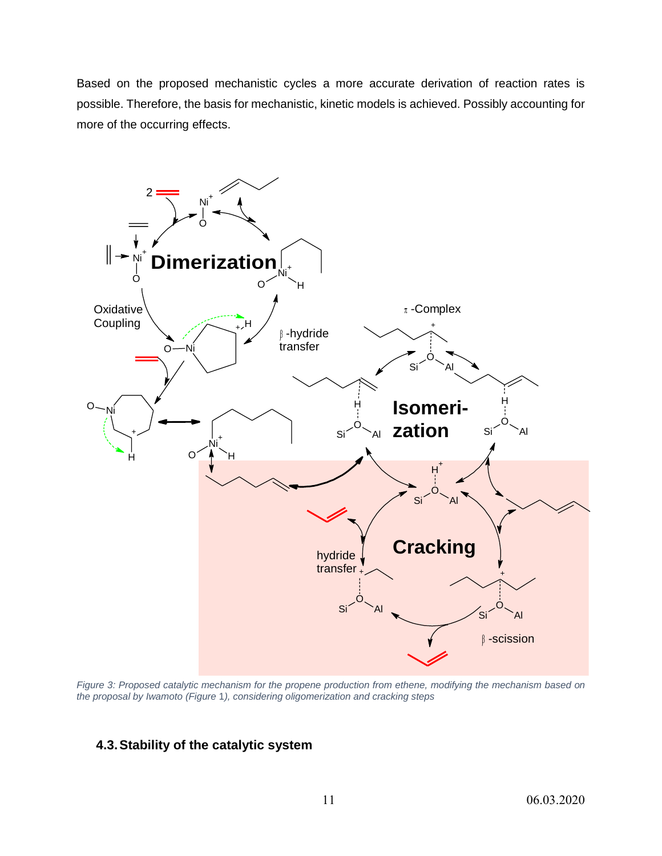Based on the proposed mechanistic cycles a more accurate derivation of reaction rates is possible. Therefore, the basis for mechanistic, kinetic models is achieved. Possibly accounting for more of the occurring effects.



<span id="page-10-0"></span>*Figure 3: Proposed catalytic mechanism for the propene production from ethene, modifying the mechanism based on the proposal by Iwamoto [\(Figure](#page-5-0)* 1*), considering oligomerization and cracking steps*

### **4.3.Stability of the catalytic system**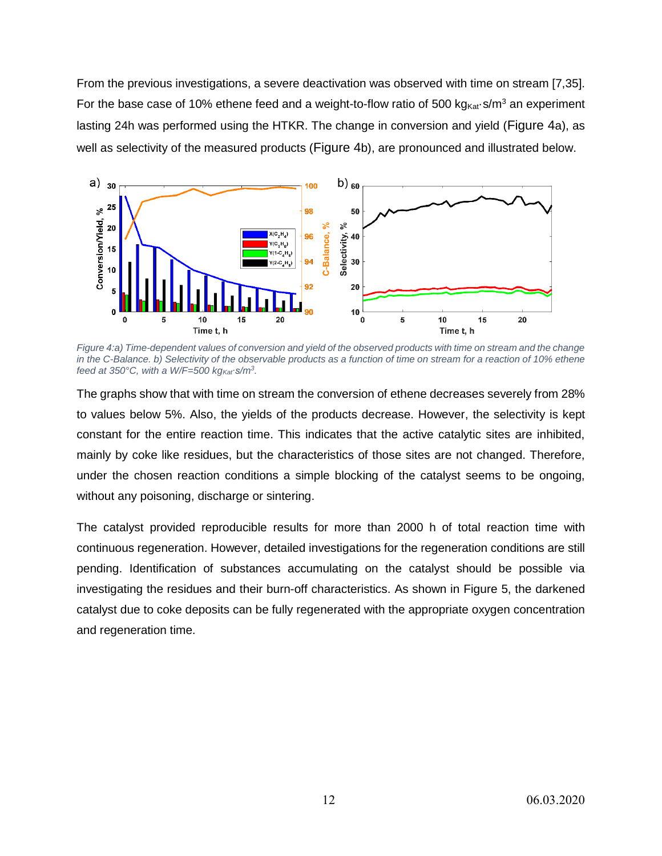From the previous investigations, a severe deactivation was observed with time on stream [7,35]. For the base case of 10% ethene feed and a weight-to-flow ratio of 500 kg $_{\text{Kat}}$ -s/m<sup>3</sup> an experiment lasting 24h was performed using the HTKR. The change in conversion and yield ([Figure 4](#page-11-0)a), as well as selectivity of the measured products ([Figure 4](#page-11-0)b), are pronounced and illustrated below.



<span id="page-11-0"></span>*Figure 4:a) Time-dependent values of conversion and yield of the observed products with time on stream and the change in the C-Balance. b) Selectivity of the observable products as a function of time on stream for a reaction of 10% ethene feed at 350°C, with a W/F=500 kgKat∙s/m<sup>3</sup> .*

The graphs show that with time on stream the conversion of ethene decreases severely from 28% to values below 5%. Also, the yields of the products decrease. However, the selectivity is kept constant for the entire reaction time. This indicates that the active catalytic sites are inhibited, mainly by coke like residues, but the characteristics of those sites are not changed. Therefore, under the chosen reaction conditions a simple blocking of the catalyst seems to be ongoing, without any poisoning, discharge or sintering.

The catalyst provided reproducible results for more than 2000 h of total reaction time with continuous regeneration. However, detailed investigations for the regeneration conditions are still pending. Identification of substances accumulating on the catalyst should be possible via investigating the residues and their burn-off characteristics. As shown in [Figure 5,](#page-12-0) the darkened catalyst due to coke deposits can be fully regenerated with the appropriate oxygen concentration and regeneration time.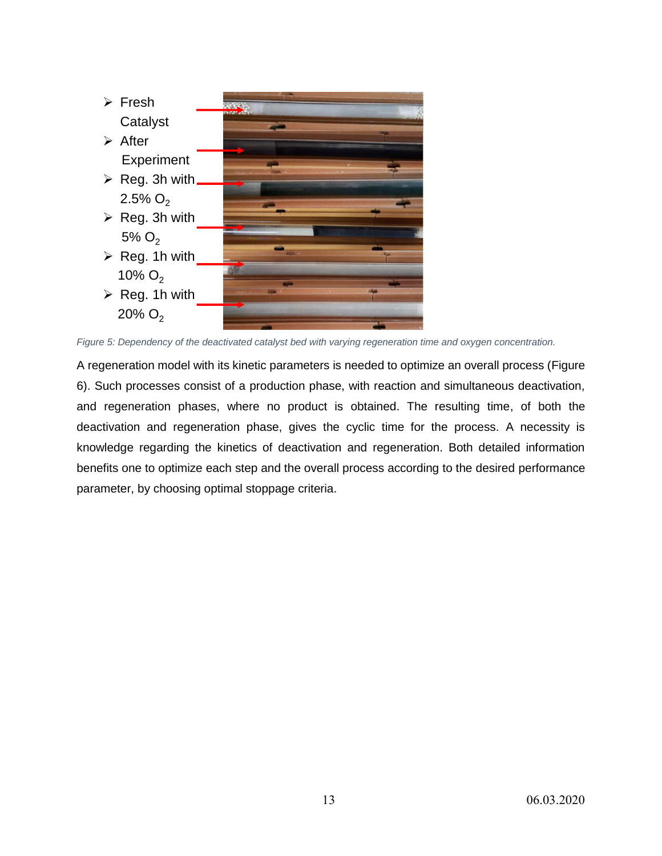

<span id="page-12-0"></span>*Figure 5: Dependency of the deactivated catalyst bed with varying regeneration time and oxygen concentration.*

A regeneration model with its kinetic parameters is needed to optimize an overall process [\(Figure](#page-13-0)  [6\)](#page-13-0). Such processes consist of a production phase, with reaction and simultaneous deactivation, and regeneration phases, where no product is obtained. The resulting time, of both the deactivation and regeneration phase, gives the cyclic time for the process. A necessity is knowledge regarding the kinetics of deactivation and regeneration. Both detailed information benefits one to optimize each step and the overall process according to the desired performance parameter, by choosing optimal stoppage criteria.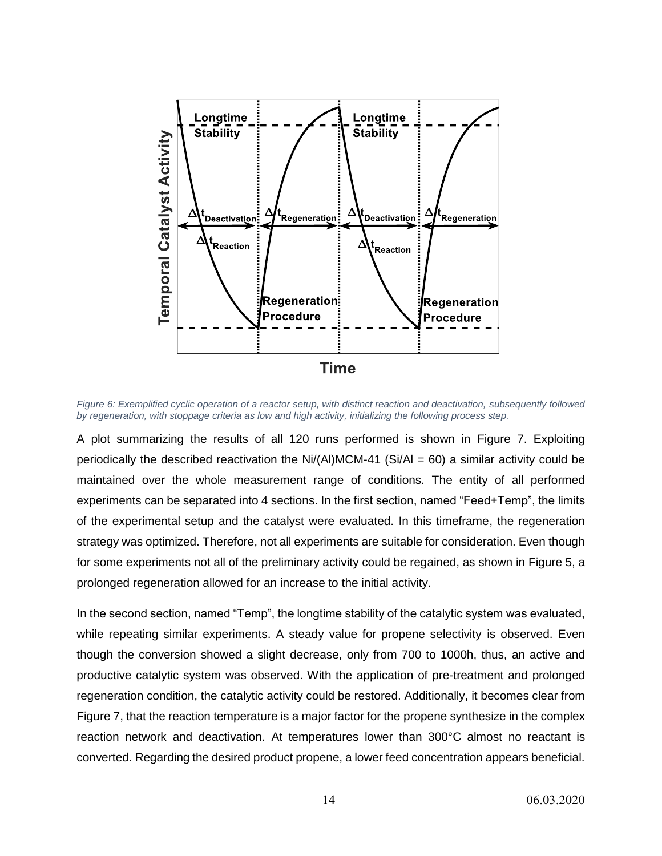

<span id="page-13-0"></span>*Figure 6: Exemplified cyclic operation of a reactor setup, with distinct reaction and deactivation, subsequently followed by regeneration, with stoppage criteria as low and high activity, initializing the following process step.*

A plot summarizing the results of all 120 runs performed is shown in [Figure 7.](#page-14-0) Exploiting periodically the described reactivation the  $Ni/(Al)MCM-41$  (Si/Al = 60) a similar activity could be maintained over the whole measurement range of conditions. The entity of all performed experiments can be separated into 4 sections. In the first section, named "Feed+Temp", the limits of the experimental setup and the catalyst were evaluated. In this timeframe, the regeneration strategy was optimized. Therefore, not all experiments are suitable for consideration. Even though for some experiments not all of the preliminary activity could be regained, as shown in [Figure 5,](#page-12-0) a prolonged regeneration allowed for an increase to the initial activity.

In the second section, named "Temp", the longtime stability of the catalytic system was evaluated, while repeating similar experiments. A steady value for propene selectivity is observed. Even though the conversion showed a slight decrease, only from 700 to 1000h, thus, an active and productive catalytic system was observed. With the application of pre-treatment and prolonged regeneration condition, the catalytic activity could be restored. Additionally, it becomes clear from [Figure 7,](#page-14-0) that the reaction temperature is a major factor for the propene synthesize in the complex reaction network and deactivation. At temperatures lower than 300°C almost no reactant is converted. Regarding the desired product propene, a lower feed concentration appears beneficial.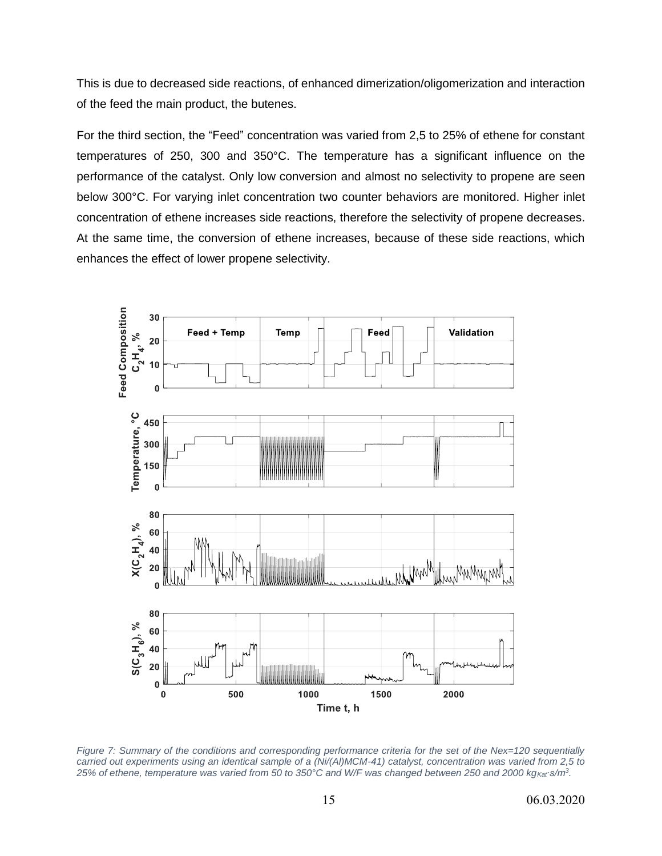This is due to decreased side reactions, of enhanced dimerization/oligomerization and interaction of the feed the main product, the butenes.

For the third section, the "Feed" concentration was varied from 2,5 to 25% of ethene for constant temperatures of 250, 300 and 350°C. The temperature has a significant influence on the performance of the catalyst. Only low conversion and almost no selectivity to propene are seen below 300°C. For varying inlet concentration two counter behaviors are monitored. Higher inlet concentration of ethene increases side reactions, therefore the selectivity of propene decreases. At the same time, the conversion of ethene increases, because of these side reactions, which enhances the effect of lower propene selectivity.



<span id="page-14-0"></span>*Figure 7: Summary of the conditions and corresponding performance criteria for the set of the Nex=120 sequentially carried out experiments using an identical sample of a (Ni/(Al)MCM-41) catalyst, concentration was varied from 2,5 to*  25% of ethene, temperature was varied from 50 to 350°C and W/F was changed between 250 and 2000 kg<sub>Kat</sub> s/m<sup>3</sup>.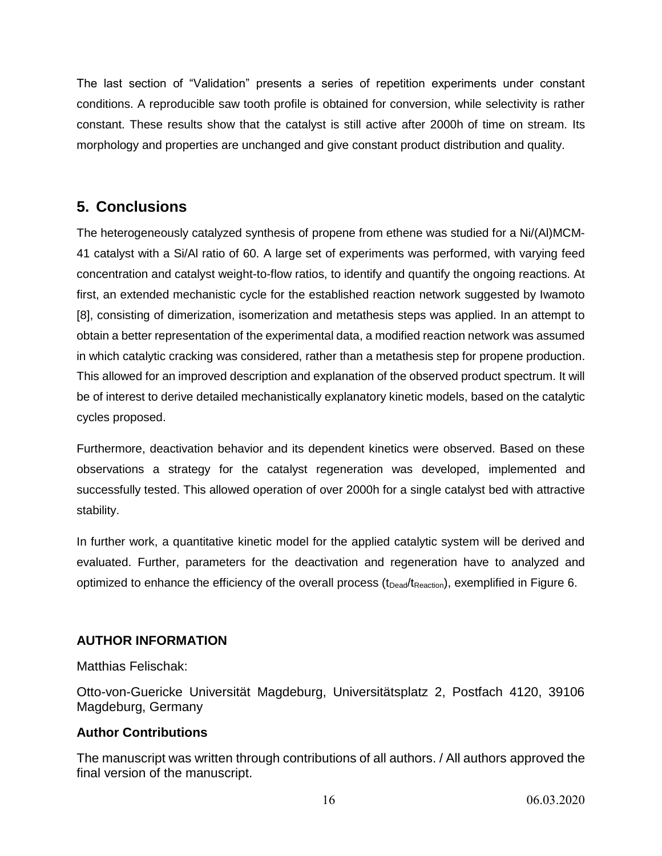The last section of "Validation" presents a series of repetition experiments under constant conditions. A reproducible saw tooth profile is obtained for conversion, while selectivity is rather constant. These results show that the catalyst is still active after 2000h of time on stream. Its morphology and properties are unchanged and give constant product distribution and quality.

# **5. Conclusions**

The heterogeneously catalyzed synthesis of propene from ethene was studied for a Ni/(Al)MCM-41 catalyst with a Si/Al ratio of 60. A large set of experiments was performed, with varying feed concentration and catalyst weight-to-flow ratios, to identify and quantify the ongoing reactions. At first, an extended mechanistic cycle for the established reaction network suggested by Iwamoto [8], consisting of dimerization, isomerization and metathesis steps was applied. In an attempt to obtain a better representation of the experimental data, a modified reaction network was assumed in which catalytic cracking was considered, rather than a metathesis step for propene production. This allowed for an improved description and explanation of the observed product spectrum. It will be of interest to derive detailed mechanistically explanatory kinetic models, based on the catalytic cycles proposed.

Furthermore, deactivation behavior and its dependent kinetics were observed. Based on these observations a strategy for the catalyst regeneration was developed, implemented and successfully tested. This allowed operation of over 2000h for a single catalyst bed with attractive stability.

In further work, a quantitative kinetic model for the applied catalytic system will be derived and evaluated. Further, parameters for the deactivation and regeneration have to analyzed and optimized to enhance the efficiency of the overall process (t<sub>Dead</sub>/t<sub>Reaction</sub>), exemplified in [Figure 6.](#page-13-0)

### **AUTHOR INFORMATION**

Matthias Felischak:

Otto-von-Guericke Universität Magdeburg, Universitätsplatz 2, Postfach 4120, 39106 Magdeburg, Germany

### **Author Contributions**

The manuscript was written through contributions of all authors. / All authors approved the final version of the manuscript.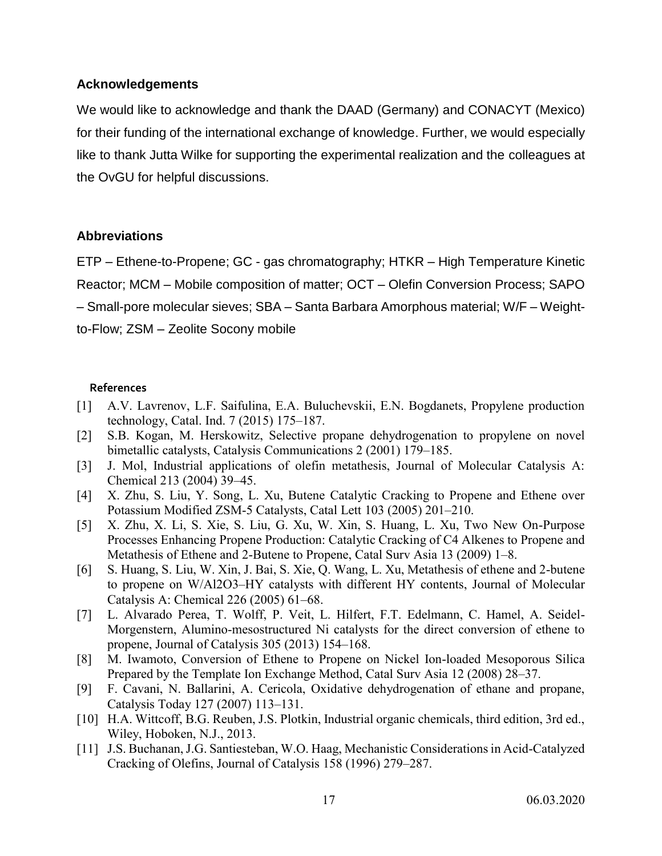#### **Acknowledgements**

We would like to acknowledge and thank the DAAD (Germany) and CONACYT (Mexico) for their funding of the international exchange of knowledge. Further, we would especially like to thank Jutta Wilke for supporting the experimental realization and the colleagues at the OvGU for helpful discussions.

#### **Abbreviations**

ETP – Ethene-to-Propene; GC - gas chromatography; HTKR – High Temperature Kinetic Reactor; MCM – Mobile composition of matter; OCT – Olefin Conversion Process; SAPO – Small-pore molecular sieves; SBA – Santa Barbara Amorphous material; W/F – Weightto-Flow; ZSM – Zeolite Socony mobile

#### **References**

- [1] A.V. Lavrenov, L.F. Saifulina, E.A. Buluchevskii, E.N. Bogdanets, Propylene production technology, Catal. Ind. 7 (2015) 175–187.
- [2] S.B. Kogan, M. Herskowitz, Selective propane dehydrogenation to propylene on novel bimetallic catalysts, Catalysis Communications 2 (2001) 179–185.
- [3] J. Mol, Industrial applications of olefin metathesis, Journal of Molecular Catalysis A: Chemical 213 (2004) 39–45.
- [4] X. Zhu, S. Liu, Y. Song, L. Xu, Butene Catalytic Cracking to Propene and Ethene over Potassium Modified ZSM-5 Catalysts, Catal Lett 103 (2005) 201–210.
- [5] X. Zhu, X. Li, S. Xie, S. Liu, G. Xu, W. Xin, S. Huang, L. Xu, Two New On-Purpose Processes Enhancing Propene Production: Catalytic Cracking of C4 Alkenes to Propene and Metathesis of Ethene and 2-Butene to Propene, Catal Surv Asia 13 (2009) 1–8.
- [6] S. Huang, S. Liu, W. Xin, J. Bai, S. Xie, Q. Wang, L. Xu, Metathesis of ethene and 2-butene to propene on W/Al2O3–HY catalysts with different HY contents, Journal of Molecular Catalysis A: Chemical 226 (2005) 61–68.
- [7] L. Alvarado Perea, T. Wolff, P. Veit, L. Hilfert, F.T. Edelmann, C. Hamel, A. Seidel-Morgenstern, Alumino-mesostructured Ni catalysts for the direct conversion of ethene to propene, Journal of Catalysis 305 (2013) 154–168.
- [8] M. Iwamoto, Conversion of Ethene to Propene on Nickel Ion-loaded Mesoporous Silica Prepared by the Template Ion Exchange Method, Catal Surv Asia 12 (2008) 28–37.
- [9] F. Cavani, N. Ballarini, A. Cericola, Oxidative dehydrogenation of ethane and propane, Catalysis Today 127 (2007) 113–131.
- [10] H.A. Wittcoff, B.G. Reuben, J.S. Plotkin, Industrial organic chemicals, third edition, 3rd ed., Wiley, Hoboken, N.J., 2013.
- [11] J.S. Buchanan, J.G. Santiesteban, W.O. Haag, Mechanistic Considerations in Acid-Catalyzed Cracking of Olefins, Journal of Catalysis 158 (1996) 279–287.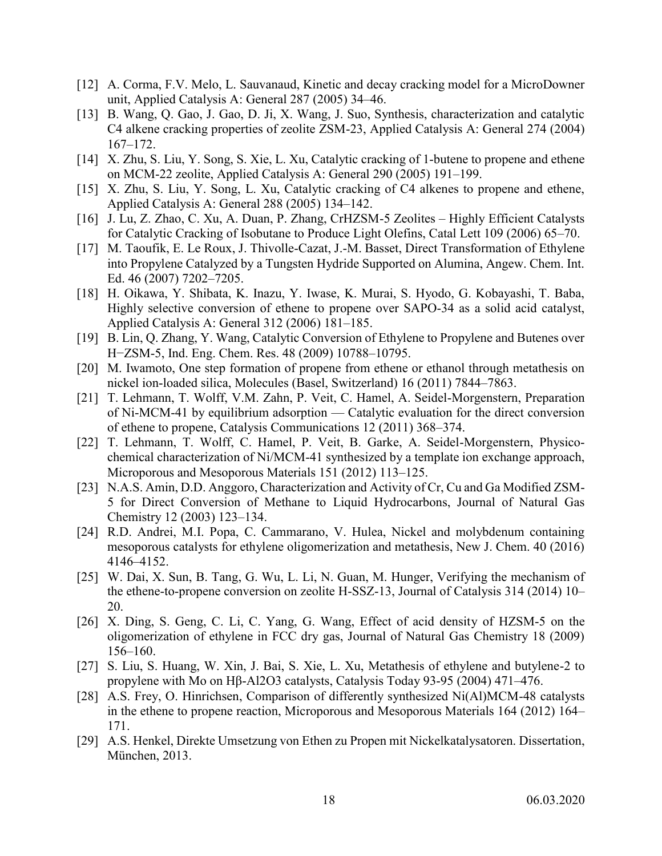- [12] A. Corma, F.V. Melo, L. Sauvanaud, Kinetic and decay cracking model for a MicroDowner unit, Applied Catalysis A: General 287 (2005) 34–46.
- [13] B. Wang, Q. Gao, J. Gao, D. Ji, X. Wang, J. Suo, Synthesis, characterization and catalytic C4 alkene cracking properties of zeolite ZSM-23, Applied Catalysis A: General 274 (2004) 167–172.
- [14] X. Zhu, S. Liu, Y. Song, S. Xie, L. Xu, Catalytic cracking of 1-butene to propene and ethene on MCM-22 zeolite, Applied Catalysis A: General 290 (2005) 191–199.
- [15] X. Zhu, S. Liu, Y. Song, L. Xu, Catalytic cracking of C4 alkenes to propene and ethene, Applied Catalysis A: General 288 (2005) 134–142.
- [16] J. Lu, Z. Zhao, C. Xu, A. Duan, P. Zhang, CrHZSM-5 Zeolites Highly Efficient Catalysts for Catalytic Cracking of Isobutane to Produce Light Olefins, Catal Lett 109 (2006) 65–70.
- [17] M. Taoufik, E. Le Roux, J. Thivolle-Cazat, J.-M. Basset, Direct Transformation of Ethylene into Propylene Catalyzed by a Tungsten Hydride Supported on Alumina, Angew. Chem. Int. Ed. 46 (2007) 7202–7205.
- [18] H. Oikawa, Y. Shibata, K. Inazu, Y. Iwase, K. Murai, S. Hyodo, G. Kobayashi, T. Baba, Highly selective conversion of ethene to propene over SAPO-34 as a solid acid catalyst, Applied Catalysis A: General 312 (2006) 181–185.
- [19] B. Lin, Q. Zhang, Y. Wang, Catalytic Conversion of Ethylene to Propylene and Butenes over H−ZSM-5, Ind. Eng. Chem. Res. 48 (2009) 10788–10795.
- [20] M. Iwamoto, One step formation of propene from ethene or ethanol through metathesis on nickel ion-loaded silica, Molecules (Basel, Switzerland) 16 (2011) 7844–7863.
- [21] T. Lehmann, T. Wolff, V.M. Zahn, P. Veit, C. Hamel, A. Seidel-Morgenstern, Preparation of Ni-MCM-41 by equilibrium adsorption — Catalytic evaluation for the direct conversion of ethene to propene, Catalysis Communications 12 (2011) 368–374.
- [22] T. Lehmann, T. Wolff, C. Hamel, P. Veit, B. Garke, A. Seidel-Morgenstern, Physicochemical characterization of Ni/MCM-41 synthesized by a template ion exchange approach, Microporous and Mesoporous Materials 151 (2012) 113–125.
- [23] N.A.S. Amin, D.D. Anggoro, Characterization and Activity of Cr, Cu and Ga Modified ZSM-5 for Direct Conversion of Methane to Liquid Hydrocarbons, Journal of Natural Gas Chemistry 12 (2003) 123–134.
- [24] R.D. Andrei, M.I. Popa, C. Cammarano, V. Hulea, Nickel and molybdenum containing mesoporous catalysts for ethylene oligomerization and metathesis, New J. Chem. 40 (2016) 4146–4152.
- [25] W. Dai, X. Sun, B. Tang, G. Wu, L. Li, N. Guan, M. Hunger, Verifying the mechanism of the ethene-to-propene conversion on zeolite H-SSZ-13, Journal of Catalysis 314 (2014) 10– 20.
- [26] X. Ding, S. Geng, C. Li, C. Yang, G. Wang, Effect of acid density of HZSM-5 on the oligomerization of ethylene in FCC dry gas, Journal of Natural Gas Chemistry 18 (2009) 156–160.
- [27] S. Liu, S. Huang, W. Xin, J. Bai, S. Xie, L. Xu, Metathesis of ethylene and butylene-2 to propylene with Mo on Hβ-Al2O3 catalysts, Catalysis Today 93-95 (2004) 471–476.
- [28] A.S. Frey, O. Hinrichsen, Comparison of differently synthesized Ni(Al)MCM-48 catalysts in the ethene to propene reaction, Microporous and Mesoporous Materials 164 (2012) 164– 171.
- [29] A.S. Henkel, Direkte Umsetzung von Ethen zu Propen mit Nickelkatalysatoren. Dissertation, München, 2013.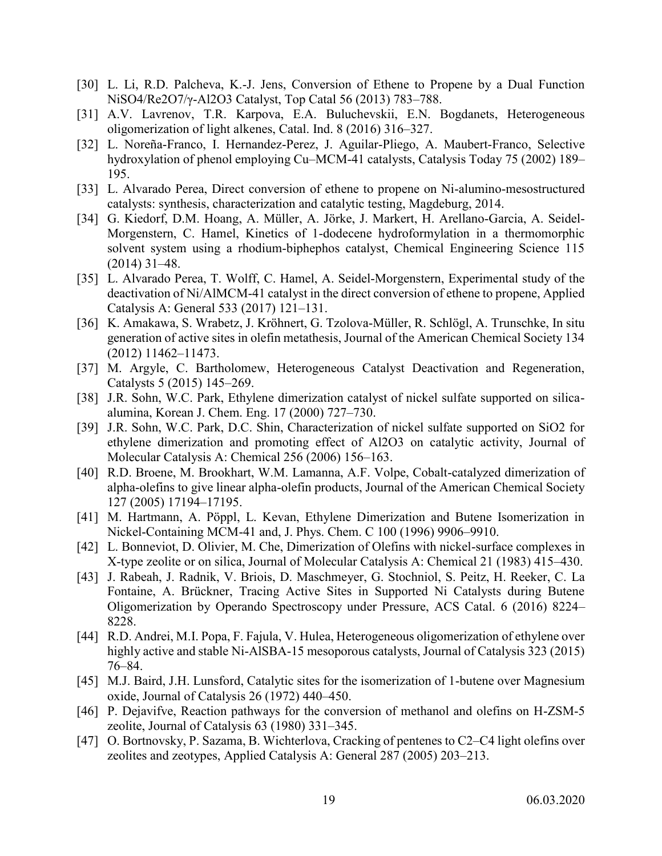- [30] L. Li, R.D. Palcheva, K.-J. Jens, Conversion of Ethene to Propene by a Dual Function NiSO4/Re2O7/γ-Al2O3 Catalyst, Top Catal 56 (2013) 783–788.
- [31] A.V. Lavrenov, T.R. Karpova, E.A. Buluchevskii, E.N. Bogdanets, Heterogeneous oligomerization of light alkenes, Catal. Ind. 8 (2016) 316–327.
- [32] L. Noreña-Franco, I. Hernandez-Perez, J. Aguilar-Pliego, A. Maubert-Franco, Selective hydroxylation of phenol employing Cu–MCM-41 catalysts, Catalysis Today 75 (2002) 189– 195.
- [33] L. Alvarado Perea, Direct conversion of ethene to propene on Ni-alumino-mesostructured catalysts: synthesis, characterization and catalytic testing, Magdeburg, 2014.
- [34] G. Kiedorf, D.M. Hoang, A. Müller, A. Jörke, J. Markert, H. Arellano-Garcia, A. Seidel-Morgenstern, C. Hamel, Kinetics of 1-dodecene hydroformylation in a thermomorphic solvent system using a rhodium-biphephos catalyst, Chemical Engineering Science 115 (2014) 31–48.
- [35] L. Alvarado Perea, T. Wolff, C. Hamel, A. Seidel-Morgenstern, Experimental study of the deactivation of Ni/AlMCM-41 catalyst in the direct conversion of ethene to propene, Applied Catalysis A: General 533 (2017) 121–131.
- [36] K. Amakawa, S. Wrabetz, J. Kröhnert, G. Tzolova-Müller, R. Schlögl, A. Trunschke, In situ generation of active sites in olefin metathesis, Journal of the American Chemical Society 134 (2012) 11462–11473.
- [37] M. Argyle, C. Bartholomew, Heterogeneous Catalyst Deactivation and Regeneration, Catalysts 5 (2015) 145–269.
- [38] J.R. Sohn, W.C. Park, Ethylene dimerization catalyst of nickel sulfate supported on silicaalumina, Korean J. Chem. Eng. 17 (2000) 727–730.
- [39] J.R. Sohn, W.C. Park, D.C. Shin, Characterization of nickel sulfate supported on SiO2 for ethylene dimerization and promoting effect of Al2O3 on catalytic activity, Journal of Molecular Catalysis A: Chemical 256 (2006) 156–163.
- [40] R.D. Broene, M. Brookhart, W.M. Lamanna, A.F. Volpe, Cobalt-catalyzed dimerization of alpha-olefins to give linear alpha-olefin products, Journal of the American Chemical Society 127 (2005) 17194–17195.
- [41] M. Hartmann, A. Pöppl, L. Kevan, Ethylene Dimerization and Butene Isomerization in Nickel-Containing MCM-41 and, J. Phys. Chem. C 100 (1996) 9906–9910.
- [42] L. Bonneviot, D. Olivier, M. Che, Dimerization of Olefins with nickel-surface complexes in X-type zeolite or on silica, Journal of Molecular Catalysis A: Chemical 21 (1983) 415–430.
- [43] J. Rabeah, J. Radnik, V. Briois, D. Maschmeyer, G. Stochniol, S. Peitz, H. Reeker, C. La Fontaine, A. Brückner, Tracing Active Sites in Supported Ni Catalysts during Butene Oligomerization by Operando Spectroscopy under Pressure, ACS Catal. 6 (2016) 8224– 8228.
- [44] R.D. Andrei, M.I. Popa, F. Fajula, V. Hulea, Heterogeneous oligomerization of ethylene over highly active and stable Ni-AlSBA-15 mesoporous catalysts, Journal of Catalysis 323 (2015) 76–84.
- [45] M.J. Baird, J.H. Lunsford, Catalytic sites for the isomerization of 1-butene over Magnesium oxide, Journal of Catalysis 26 (1972) 440–450.
- [46] P. Dejavifve, Reaction pathways for the conversion of methanol and olefins on H-ZSM-5 zeolite, Journal of Catalysis 63 (1980) 331–345.
- [47] O. Bortnovsky, P. Sazama, B. Wichterlova, Cracking of pentenes to C2–C4 light olefins over zeolites and zeotypes, Applied Catalysis A: General 287 (2005) 203–213.